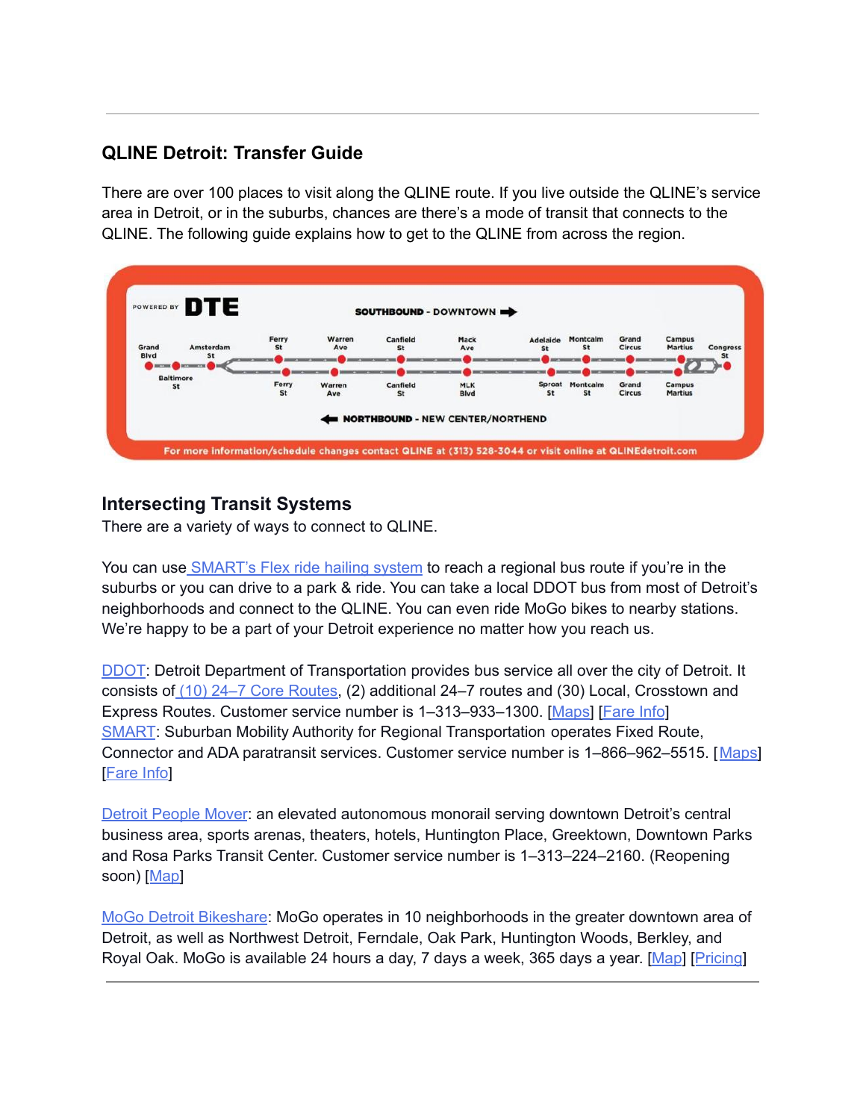### **QLINE Detroit: Transfer Guide**

There are over 100 places to visit along the QLINE route. If you live outside the QLINE's service area in Detroit, or in the suburbs, chances are there's a mode of transit that connects to the QLINE. The following guide explains how to get to the QLINE from across the region.



# **Intersecting Transit Systems**

There are a variety of ways to connect to QLINE.

You can use **[SMART's](https://www.smartbus.org/About/News/ArtMID/707/ArticleID/446/preview/true/SMART-Flex) Flex ride hailing system** to reach a regional bus route if you're in the suburbs or you can drive to a park & ride. You can take a local DDOT bus from most of Detroit's neighborhoods and connect to the QLINE. You can even ride MoGo bikes to nearby stations. We're happy to be a part of your Detroit experience no matter how you reach us.

[DDOT](https://detroitmi.gov/departments/detroit-department-transportation): Detroit Department of Transportation provides bus service all over the city of Detroit. It consists of (10) 24–7 Core [Routes,](https://detroitmi.gov/news/new-ddot-connectten-service-add-500-trips-week-15-minute-peak-hour-frequency-wi-fi) (2) additional 24–7 routes and (30) Local, Crosstown and Express Routes. Customer service number is 1–313–933–1300. [\[Maps](https://ddot.info/system-map/)] [\[Fare](https://detroitmi.gov/departments/detroit-department-transportation/transportation-fares#collapse-vbp-accordion-8656-5) Info] [SMART](https://www.smartbus.org/): Suburban Mobility Authority for Regional Transportation operates Fixed Route, Connector and ADA paratransit services. Customer service number is 1–866–962–5515. [[Maps\]](https://www.smartbus.org/Portals/0/System%20Maps/2022%20Web%20System%20Map%201-3-22.pdf?ver=EkmMr0OQtzg9aiAMsWtBkA%3d%3d) [\[Fare](https://www.smartbus.org/Fares) Info]

Detroit [People](https://www.thepeoplemover.com/) Mover: an elevated autonomous monorail serving downtown Detroit's central business area, sports arenas, theaters, hotels, Huntington Place, Greektown, Downtown Parks and Rosa Parks Transit Center. Customer service number is 1–313–224–2160. (Reopening soon) [[Map\]](https://www.thepeoplemover.com/interactive-station-map?source=qlink&parent=MjQ3&activePage=Interactive%20Map)

MoGo Detroit [Bikeshare](https://mogodetroit.org/): MoGo operates in 10 neighborhoods in the greater downtown area of Detroit, as well as Northwest Detroit, Ferndale, Oak Park, Huntington Woods, Berkley, and Royal Oak. MoGo is available 24 hours a day, 7 days a week, 365 days a year. [\[Map](https://mogodetroit.org/maps/system-map/)] [[Pricing](https://mogodetroit.org/pricing/)]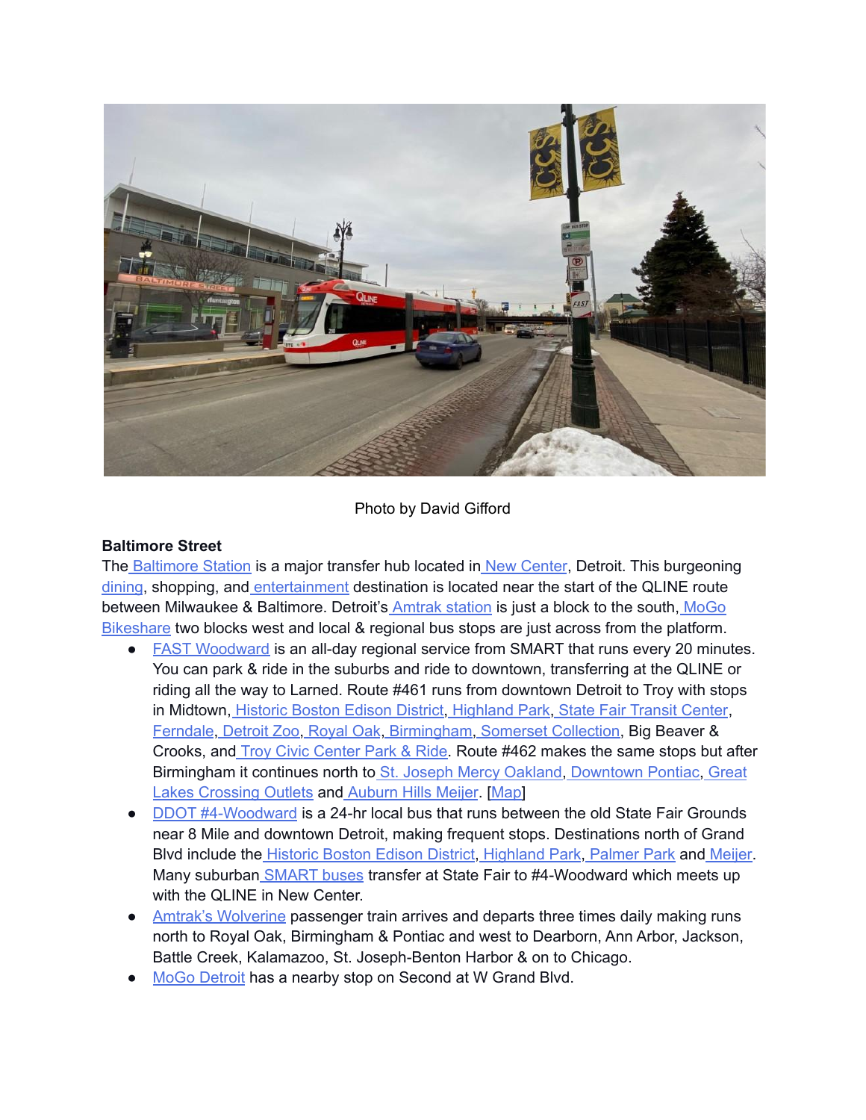

Photo by David Gifford

#### **Baltimore Street**

The [Baltimore](https://goo.gl/maps/rR8gnWFL1YesFyWG6) Station is a major transfer hub located in New [Center](https://letsdetroit.com/community/new-center-detroit/), Detroit. This burgeoning [dining](https://detroit.eater.com/neighborhood/580/new-center), shopping, and [entertainment](https://www.broadwayindetroit.com/plan-your-visit/fisher-theatre) destination is located near the start of the QLINE route between Milwaukee & Baltimore. Detroit's [Amtrak](https://www.amtrak.com/stations/det) station is just a block to the south, [MoGo](https://mogodetroit.org/) [Bikeshare](https://mogodetroit.org/) two blocks west and local & regional bus stops are just across from the platform.

- FAST [Woodward](https://ferndaletransitguide.weebly.com/destinations.html) is an all-day regional service from SMART that runs every 20 minutes. You can park & ride in the suburbs and ride to downtown, transferring at the QLINE or riding all the way to Larned. Route #461 runs from downtown Detroit to Troy with stops in Midtown, [Historic](https://www.historicbostonedison.org/) Boston Edison District, [Highland](https://www.highlandparkmi.gov/) Park, State Fair [Transit](https://detroitmi.gov/departments/detroit-department-transportation/state-fair-transit-center) Center[,](https://downtownferndale.com/) [Ferndale](https://downtownferndale.com/), [Detroit](https://detroitzoo.org/) Zoo, [Royal](https://downtownroyaloak.org/) Oak, [Birmingham](https://www.allinbirmingham.com/), Somerset [Collection,](https://www.thesomersetcollection.com/) Big Beaver & Crooks, and Troy Civic [Center](https://goo.gl/maps/yYfveFttyY9BaXFy7) Park & Ride. Route #462 makes the same stops but after Birmingham it continues north to St. Joseph Mercy [Oakland,](https://www.stjoeshealth.org/location/st-joseph-mercy-oakland-hospital-1) [Downtown](https://mainstreetpontiac.org/) Pontiac, [Great](https://greatlakescrossingoutlets.com/) Lakes [Crossing](https://greatlakescrossingoutlets.com/) Outlets and [Auburn](https://www.meijer.com/shopping/store-locator/185.html) Hills Meijer. [\[Map\]](http://www.smartbus.org/Schedules/Route-Schedules/view/RouteImages/routeid/461)
- DDOT [#4-Woodward](https://ddot.info/route/4) is a 24-hr local bus that runs between the old State Fair Grounds near 8 Mile and downtown Detroit, making frequent stops. Destinations north of Grand Blvd include the [Historic](https://www.historicbostonedison.org/) Boston Edison District, [Highland](https://www.highlandparkmi.gov/) Park, [Palmer](https://www.peopleforpalmerpark.org/) Park and [Meijer.](https://www.meijer.com/shopping/store-locator/268.html) Many suburban **[SMART](https://www.smartbus.org/Portals/0/System%20Maps/2022%20Web%20System%20Map%201-3-22.pdf?ver=EkmMr0OQtzg9aiAMsWtBkA%3d%3d) buses** transfer at State Fair to #4-Woodward which meets up with the QLINE in New Center.
- Amtrak's [Wolverine](https://amtrakguide.com/routes/wolverine/) passenger train arrives and departs three times daily making runs north to Royal Oak, Birmingham & Pontiac and west to Dearborn, Ann Arbor, Jackson, Battle Creek, Kalamazoo, St. Joseph-Benton Harbor & on to Chicago.
- MoGo [Detroit](https://mogodetroit.org/) has a nearby stop on Second at W Grand Blvd.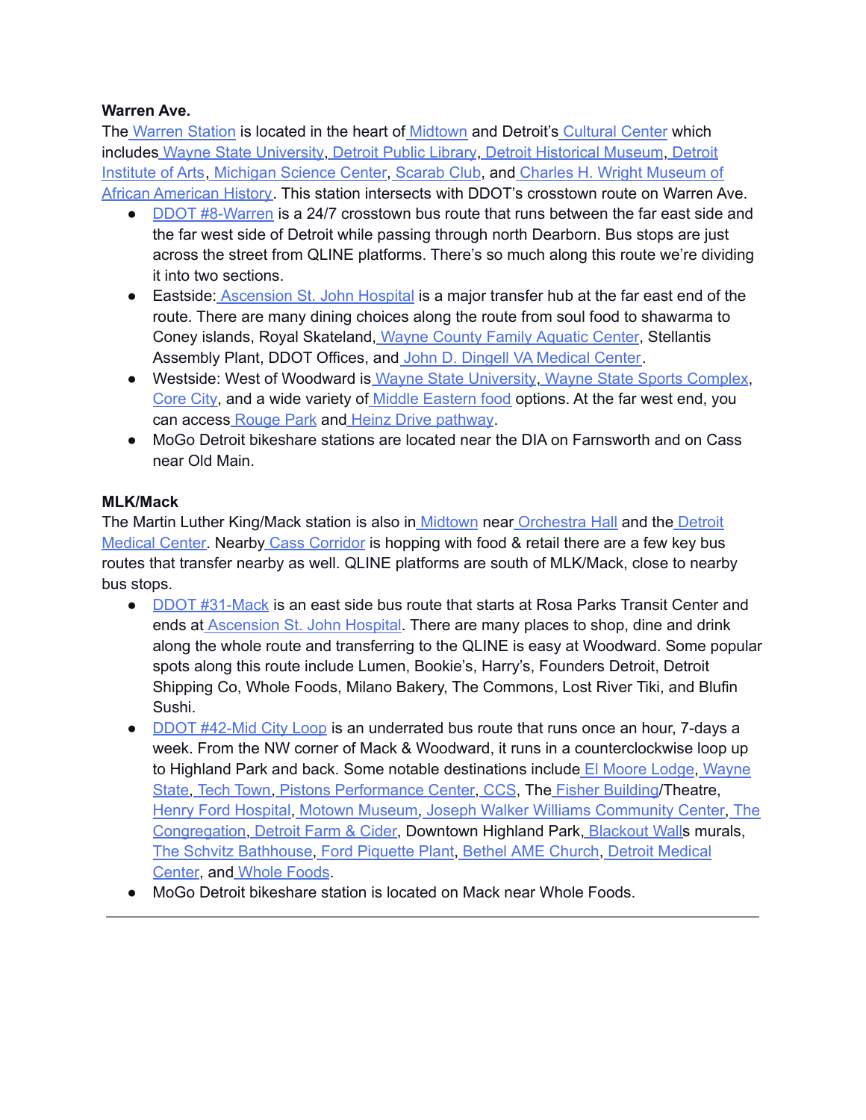#### **Warren Ave.**

The [Warren](https://goo.gl/maps/yhySQG9LNjdsDZ7d7) Station is located in the heart of [Midtown](https://visitmidtown.com/) and Detroit's [Cultural](https://www.experiencedetroit.com/culturalcenter.htm) Center which includes Wayne State [University](https://wayne.edu/), Detroit Public [Library](https://detroitpubliclibrary.org/), Detroit [Historical](https://detroithistorical.org/) Museum, [Detroit](https://www.dia.org/) [Institute](https://www.dia.org/) of Arts, [Michigan](https://www.mi-sci.org/) Science Center, [Scarab](https://scarabclub.org/) Club, and Charles H. Wright [Museum](https://www.thewright.org/) of African [American](https://www.thewright.org/) History. This station intersects with DDOT's crosstown route on Warren Ave.

- DDOT [#8-Warren](https://ddot.info/route/8) is a 24/7 crosstown bus route that runs between the far east side and the far west side of Detroit while passing through north Dearborn. Bus stops are just across the street from QLINE platforms. There's so much along this route we're dividing it into two sections.
- Eastside: [Ascension](https://healthcare.ascension.org/locations/michigan/midet/detroit-ascension-st-john-hospital) St. John Hospital is a major transfer hub at the far east end of the route. There are many dining choices along the route from soul food to shawarma to Coney islands, Royal Skateland, Wayne County Family [Aquatic](https://www.waynecounty.com/departments/publicservices/parks/wayne-county-family.aspx) Center, Stellantis Assembly Plant, DDOT Offices, and John D. Dingell VA [Medical](https://www.va.gov/detroit-health-care/locations/john-d-dingell-department-of-veterans-affairs-medical-center/) Center.
- Westside: West of Woodward is Wayne State [University](https://wayne.edu/), Wayne State Sports [Complex](https://wsuathletics.com/facilities)[,](https://detroit.curbed.com/2020/2/18/21142560/core-city-detroit-philip-kafka-true-north) [Core](https://detroit.curbed.com/2020/2/18/21142560/core-city-detroit-philip-kafka-true-north) City, and a wide variety of Middle [Eastern](https://detroit.eater.com/maps/best-restaurants-dearborn) food options. At the far west end, you can access [Rouge](http://www.rougepark.org/) Park and Heinz Drive [pathway](https://www.experiencedetroit.com/hinesdrive.htm).
- MoGo Detroit bikeshare stations are located near the DIA on Farnsworth and on Cass near Old Main.

#### **MLK/Mack**

The Martin Luther King/Mack station is also in [Midtown](https://visitmidtown.com/) near [Orchestra](https://www.dso.org/) Hall and the [Detroit](https://www.dmc.org/) [Medical](https://www.dmc.org/) Center. Nearby Cass [Corridor](https://degiff.medium.com/cass-corridor-transit-guide-5294cbceaed) is hopping with food & retail there are a few key bus routes that transfer nearby as well. QLINE platforms are south of MLK/Mack, close to nearby bus stops.

- DDOT [#31-Mack](https://ddot.info/route/31) is an east side bus route that starts at Rosa Parks Transit Center and ends at [Ascension](https://healthcare.ascension.org/locations/michigan/midet/detroit-ascension-st-john-hospital) St. John Hospital. There are many places to shop, dine and drink along the whole route and transferring to the QLINE is easy at Woodward. Some popular spots along this route include Lumen, Bookie's, Harry's, Founders Detroit, Detroit Shipping Co, Whole Foods, Milano Bakery, The Commons, Lost River Tiki, and Blufin Sushi.
- DDOT [#42-Mid](https://ddot.info/route/42) City Loop is an underrated bus route that runs once an hour, 7-days a week. From the NW corner of Mack & Woodward, it runs in a counterclockwise loop up to Highland Park and back. Some notable destinations include El [Moore](https://elmoore.com/) Lodge, [Wayne](https://wayne.edu/) [State,](https://wayne.edu/) Tech [Town,](https://techtowndetroit.org/) Pistons [Performance](https://www.theplatform.city/pistons-performance-center/) Center, [CCS](https://www.collegeforcreativestudies.edu/), The Fisher [Building](https://www.fisherbuilding.city/)/Theatre, Henry Ford [Hospital,](https://www.henryford.com/) Motown [Museum,](https://www.motownmuseum.org/) Joseph Walker Williams [Community](https://detroitmi.gov/departments/parks-recreation/community-recreation-centers/joseph-walker-williams-center) Center, [The](https://thecongregationdetroit.com/) [Congregation](https://thecongregationdetroit.com/), [Detroit](https://www.detroitfarmandcider.com/) Farm & Cider, Downtown Highland Park, [Blackout](https://www.blkoutwalls.com/) Walls murals[,](https://schvitzdetroit.com/) The Schvitz [Bathhouse](https://schvitzdetroit.com/), Ford [Piquette](https://www.fordpiquetteplant.org/) Plant, Bethel AME [Church,](https://www.bethelamechurchdetroit.org/) Detroit [Medical](https://www.dmc.org/) [Center,](https://www.dmc.org/) and [Whole](https://www.wholefoodsmarket.com/stores/detroit) Foods.
- MoGo Detroit bikeshare station is located on Mack near Whole Foods.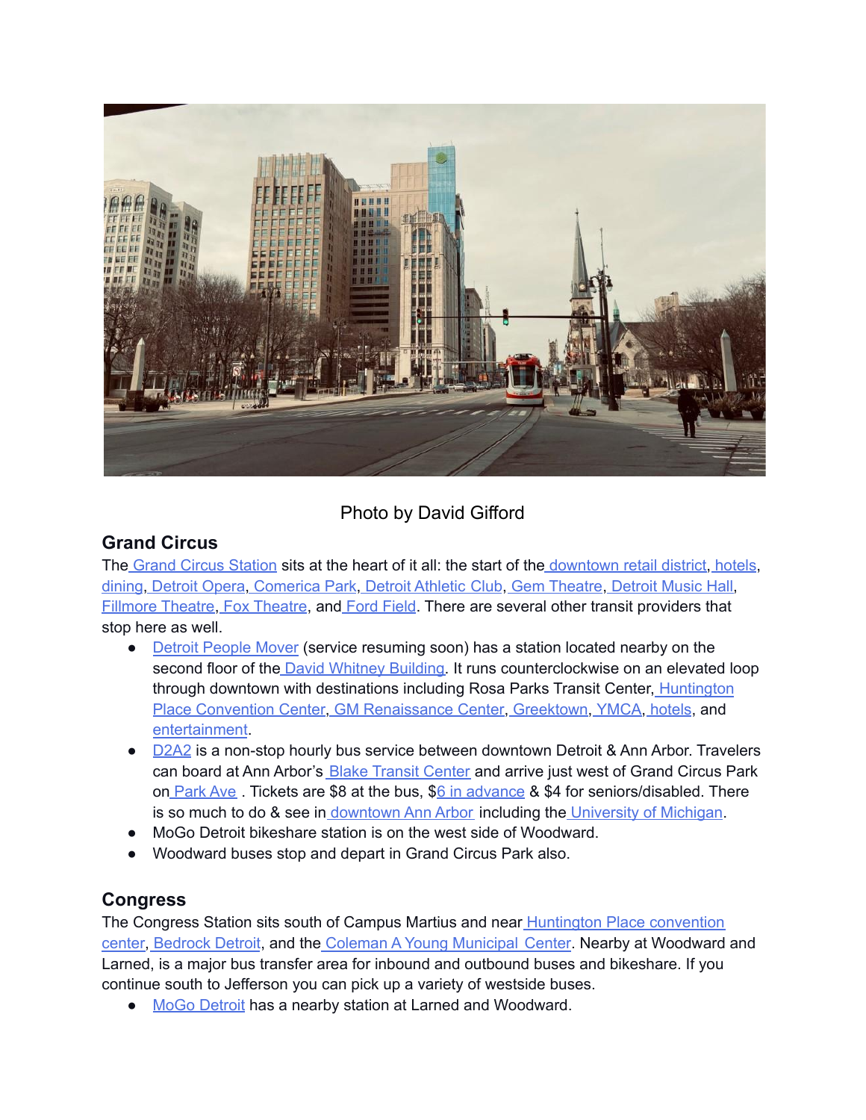

# Photo by David Gifford

# **Grand Circus**

The Grand Circus [Station](https://downtowndetroit.org/experience-downtown/downtown-detroit-parks/grand-circus-park/) sits at the heart of it all: the start of the [downtown](https://visitdetroit.com/inside-the-d/detroit-shopping-guide/) retail district, [hotels](https://visitdetroit.com/downtown-detroit-hotel-guide/)[,](https://visitdetroit.com/food-drink/?pg=1&or=popularity) [dining](https://visitdetroit.com/food-drink/?pg=1&or=popularity), [Detroit](https://detroitopera.org/) Opera, [Comerica](https://www.313presents.com/venues-events/comerica-park) Park, Detroit [Athletic](https://www.thedac.com/#/app-landing) Club, Gem [Theatre](http://gemcolonyevents.com/venues/gem-theatre/), [Detroit](https://www.musichall.org/) Music Hall, [Fillmore](https://www.livenation.com/venue/KovZpZAEAktA/the-fillmore-detroit-events) [Theatre](https://www.313presents.com/venues-events/fox-theatre), Fox Theatre, and Ford [Field](https://www.fordfield.com/). There are several other transit providers that stop here as well.

- Detroit [People](https://www.thepeoplemover.com/) Mover (service resuming soon) has a station located nearby on the second floor of the David [Whitney](https://www.davidwhitneybuilding.com/) Building. It runs counterclockwise on an elevated loop through downtown with destinations including Rosa Parks Transit Center, [Huntington](https://www.huntingtonplacedetroit.com/) Place [Convention](https://www.huntingtonplacedetroit.com/) Center, GM [Renaissance](https://gmrencen.com/) Center, [Greektown,](https://www.greektowndetroit.org/) [YMCA,](https://ymcadetroit.org/locations/boll/) [hotels](https://visitdetroit.com/downtown-detroit-hotel-guide/), and [entertainment](https://visitdetroit.com/things-to-do/entertainment/?pg=1&or=popularity).
- [D2A2](https://d2a2.com/) is a non-stop hourly bus service between downtown Detroit & Ann Arbor. Travelers can board at Ann Arbor's Blake [Transit](https://www.theride.org/) Center and arrive just west of Grand Circus Park on [Park](https://goo.gl/maps/NX4tVAVybiMpCWn89) Ave. Tickets are \$8 at the bus, \$6 in [advance](https://webshop-d2a2.michiganflyer.turnit.com/) & \$4 for seniors/disabled. There is so much to do & see in [downtown](https://www.annarbor.org/things-to-do/downtown/) Ann Arbor including the [University](https://umich.edu/) of Michigan.
- MoGo Detroit bikeshare station is on the west side of Woodward.
- Woodward buses stop and depart in Grand Circus Park also.

### **Congress**

The Congress Station sits south of Campus Martius and near Huntington Place [convention](https://www.huntingtonplacedetroit.com/) [center,](https://www.huntingtonplacedetroit.com/) [Bedrock](https://www.bedrockdetroit.com/) Detroit, and the Coleman A Young [Municipal](https://caymc.com/toc.cfm) Center. Nearby at Woodward and Larned, is a major bus transfer area for inbound and outbound buses and bikeshare. If you continue south to Jefferson you can pick up a variety of westside buses.

• MoGo [Detroit](https://mogodetroit.org/) has a nearby station at Larned and Woodward.